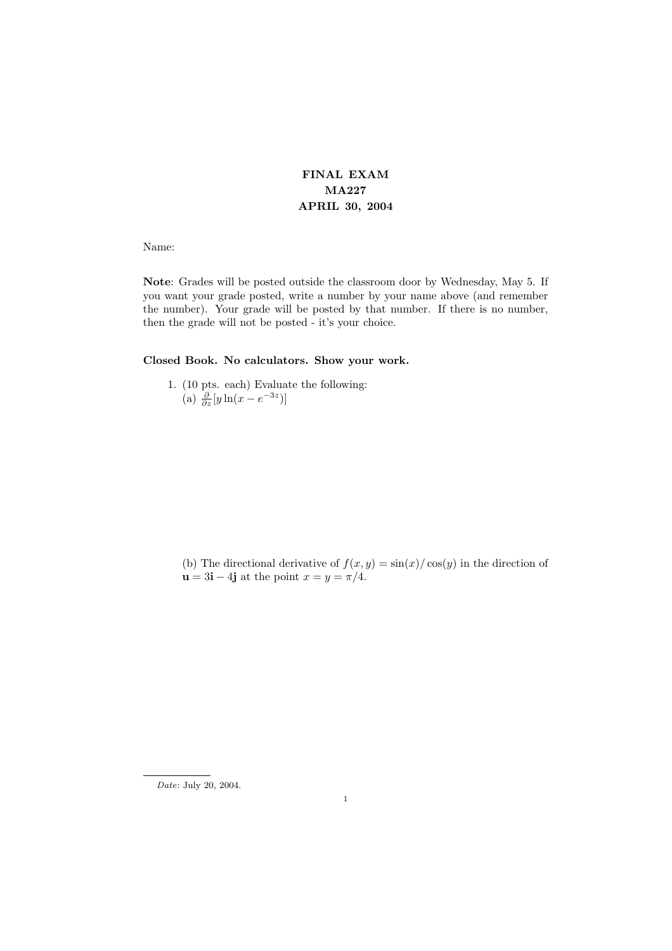## FINAL EXAM MA227 APRIL 30, 2004

Name:

Note: Grades will be posted outside the classroom door by Wednesday, May 5. If you want your grade posted, write a number by your name above (and remember the number). Your grade will be posted by that number. If there is no number, then the grade will not be posted - it's your choice.

## Closed Book. No calculators. Show your work.

1. (10 pts. each) Evaluate the following: (a)  $\frac{\partial}{\partial z}[y\ln(x-e^{-3z})]$ 

(b) The directional derivative of  $f(x, y) = \sin(x)/\cos(y)$  in the direction of  $u = 3i - 4j$  at the point  $x = y = \pi/4$ .

Date: July 20, 2004.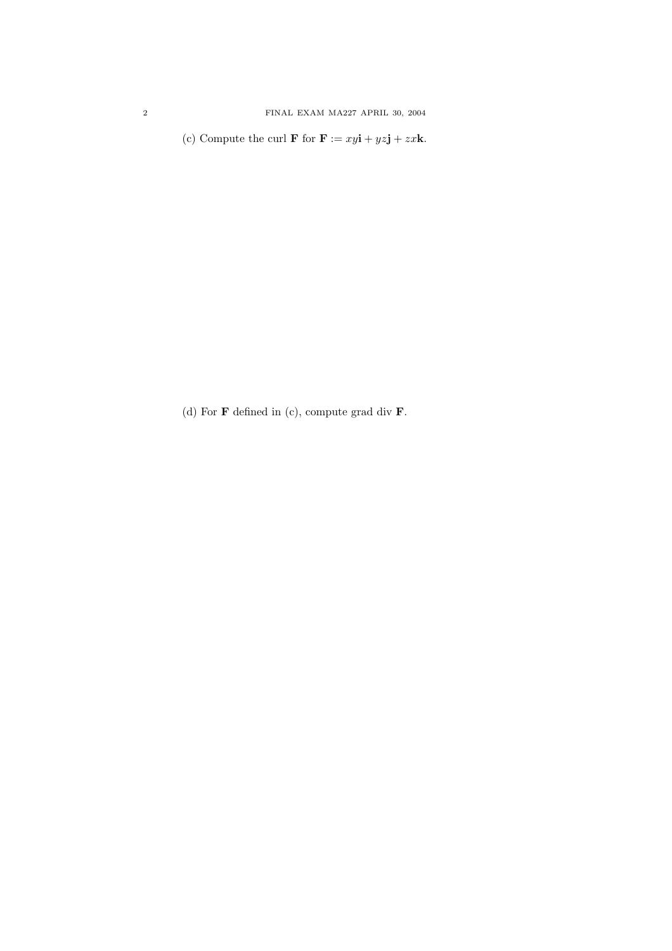(c) Compute the curl **F** for **F** :=  $xy\mathbf{i} + yz\mathbf{j} + zx\mathbf{k}$ .

(d) For  $\bf{F}$  defined in (c), compute grad div  $\bf{F}$ .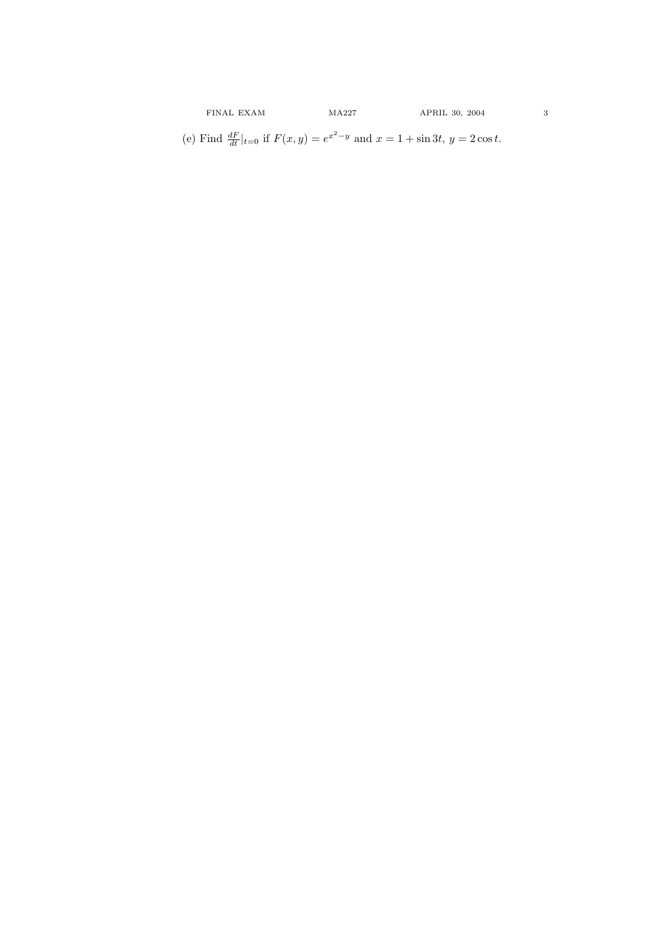(e) Find  $\frac{dF}{dt}|_{t=0}$  if  $F(x, y) = e^{x^2 - y}$  and  $x = 1 + \sin 3t$ ,  $y = 2 \cos t$ .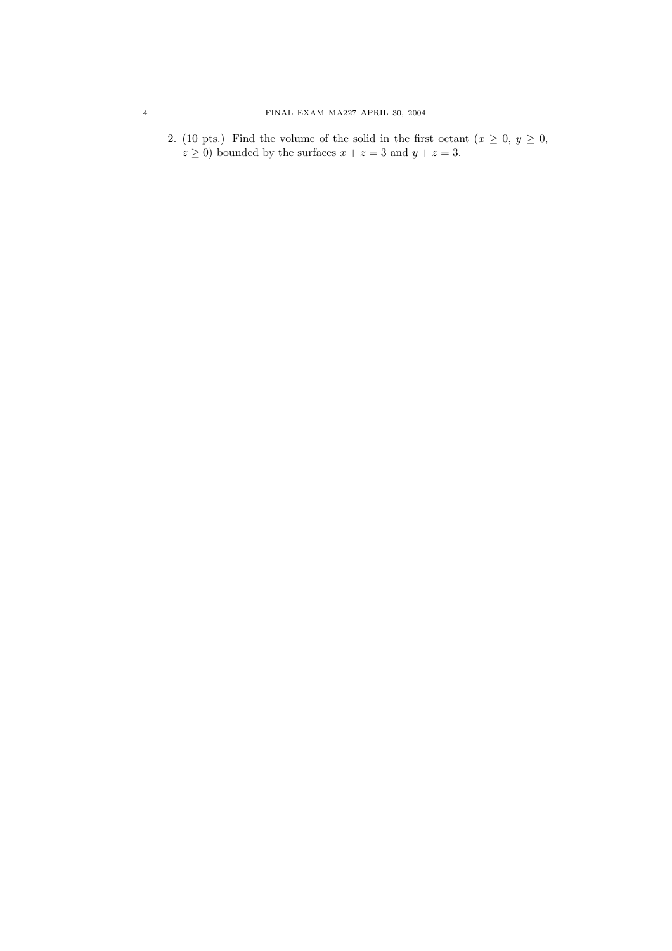2. (10 pts.) Find the volume of the solid in the first octant  $(x \geq 0, y \geq 0,$  $z \ge 0$ ) bounded by the surfaces  $x + z = 3$  and  $y + z = 3$ .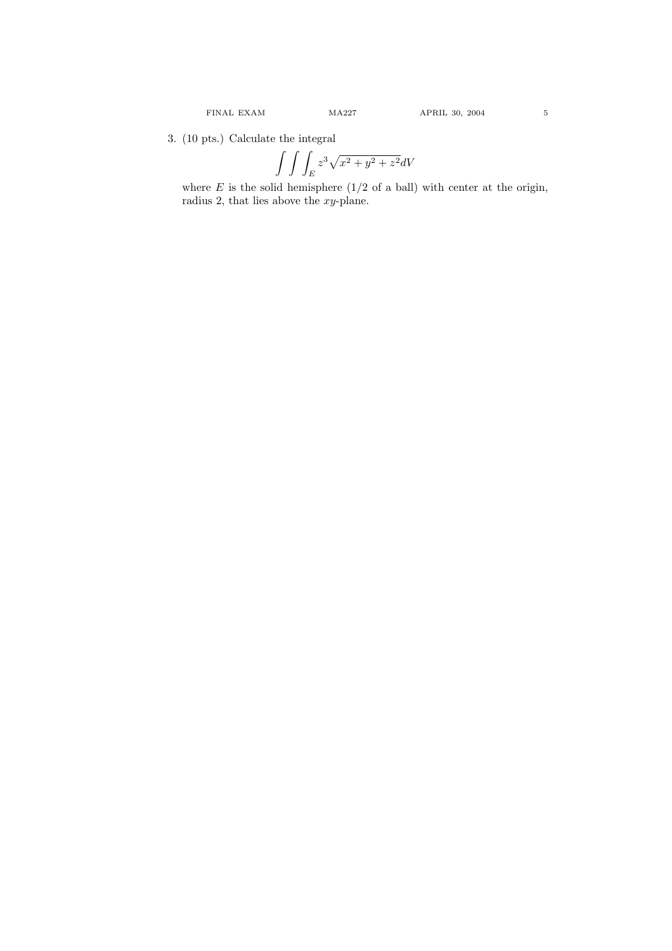3. (10 pts.) Calculate the integral

$$
\int \int \int_E z^3 \sqrt{x^2 + y^2 + z^2} dV
$$

where  $E$  is the solid hemisphere  $(1/2 \text{ of a ball})$  with center at the origin, radius 2, that lies above the  $xy$ -plane.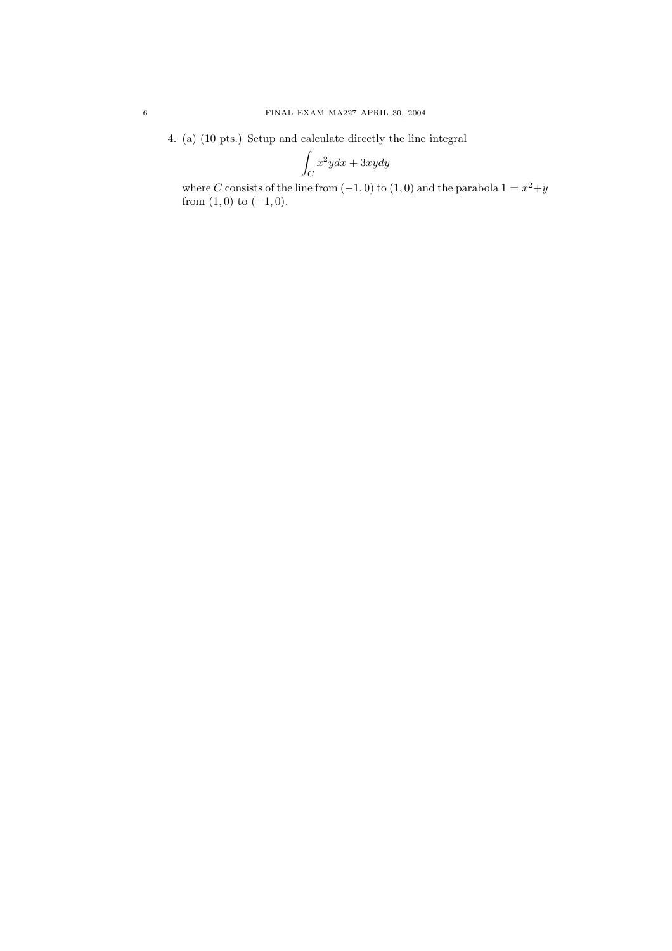4. (a) (10 pts.) Setup and calculate directly the line integral Z

$$
\int_C x^2 y dx + 3xy dy
$$

where C consists of the line from  $(-1,0)$  to  $(1,0)$  and the parabola  $1 = x^2+y$ from  $(1,0)$  to  $(-1,0)$ .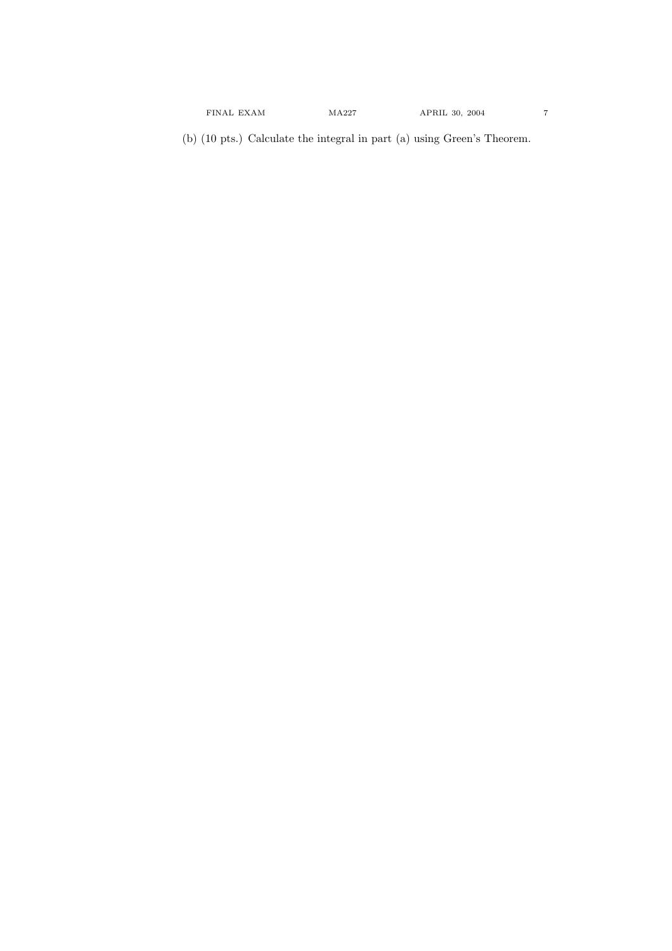(b) (10 pts.) Calculate the integral in part (a) using Green's Theorem.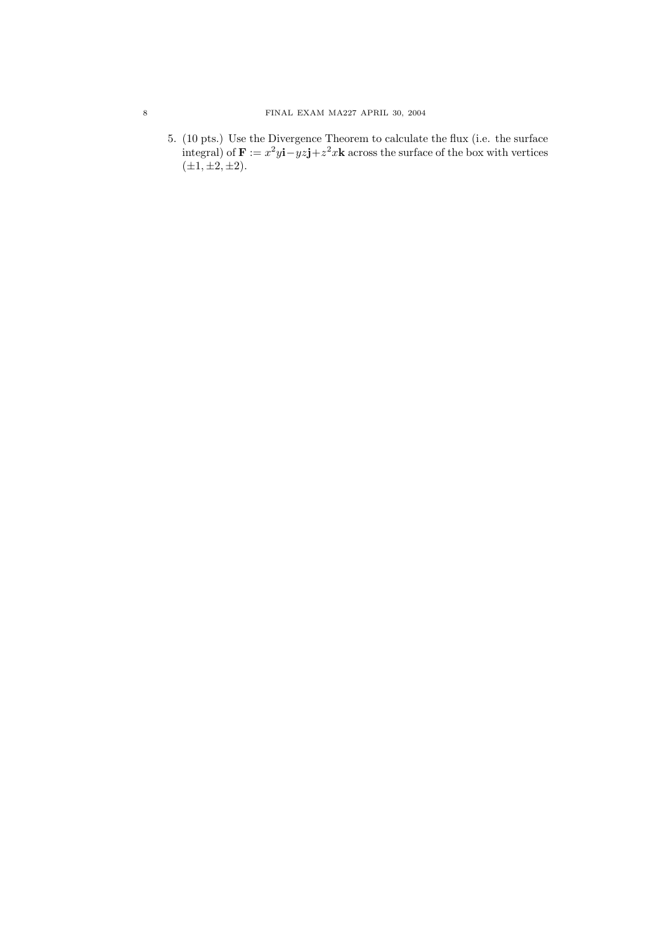## 8 FINAL EXAM MA227 APRIL 30, 2004

5. (10 pts.) Use the Divergence Theorem to calculate the flux (i.e. the surface integral) of  $\mathbf{F} := x^2 y \mathbf{i} - yz \mathbf{j} + z^2 x \mathbf{k}$  across the surface of the box with vertices  $(\pm 1, \pm 2, \pm 2).$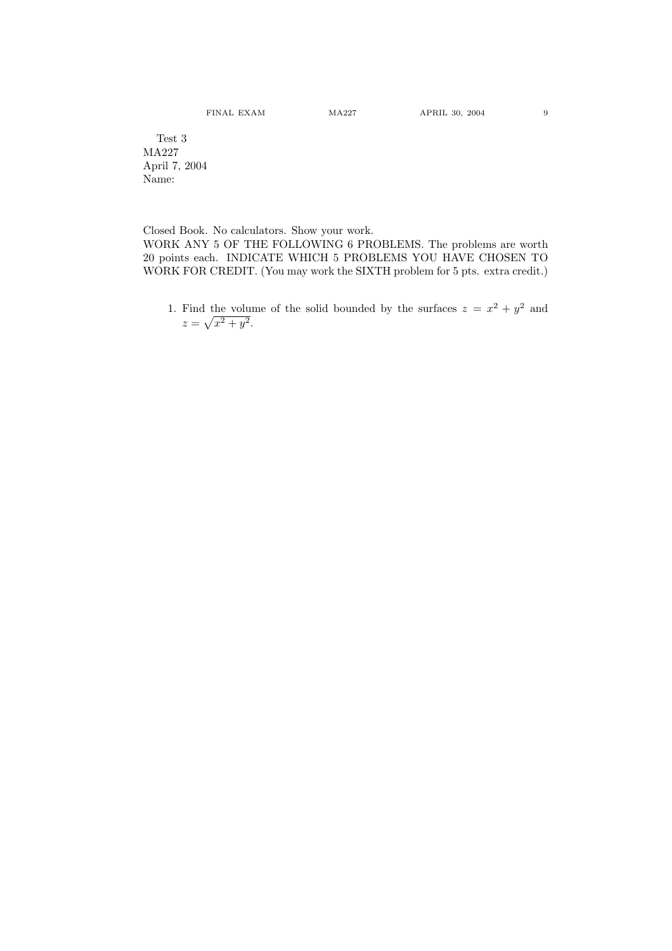Test 3 MA227 April 7, 2004 Name:

Closed Book. No calculators. Show your work. WORK ANY 5 OF THE FOLLOWING 6 PROBLEMS. The problems are worth 20 points each. INDICATE WHICH 5 PROBLEMS YOU HAVE CHOSEN TO WORK FOR CREDIT. (You may work the SIXTH problem for 5 pts. extra credit.)

1. Find the volume of the solid bounded by the surfaces  $z = x^2 + y^2$  and  $z =$  $\mathfrak{p}$  $x^2 + y^2$ .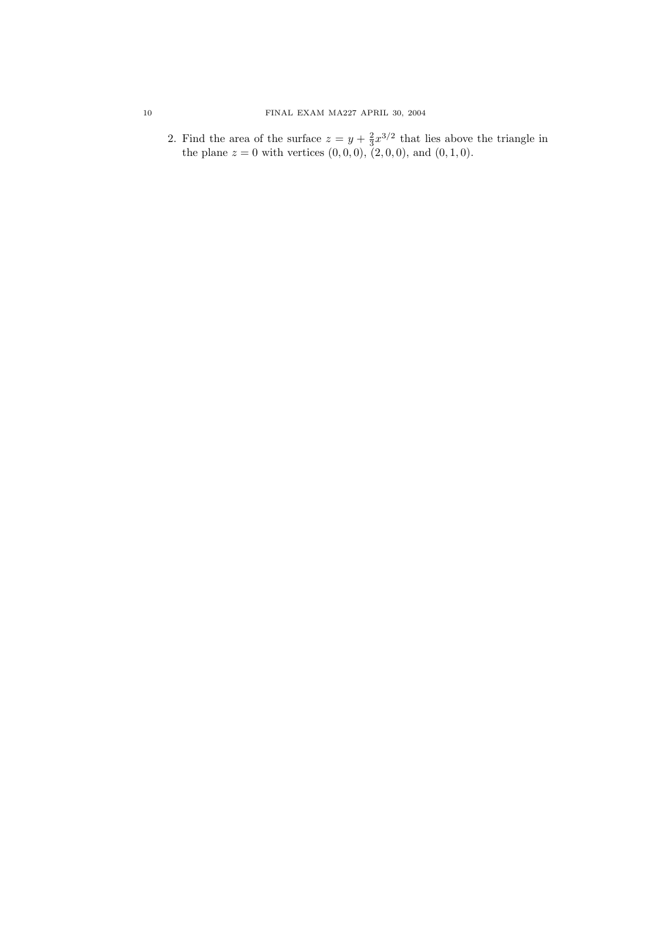2. Find the area of the surface  $z = y + \frac{2}{3}x^{3/2}$  that lies above the triangle in the plane  $z = 0$  with vertices  $(0, 0, 0)$ ,  $(2, 0, 0)$ , and  $(0, 1, 0)$ .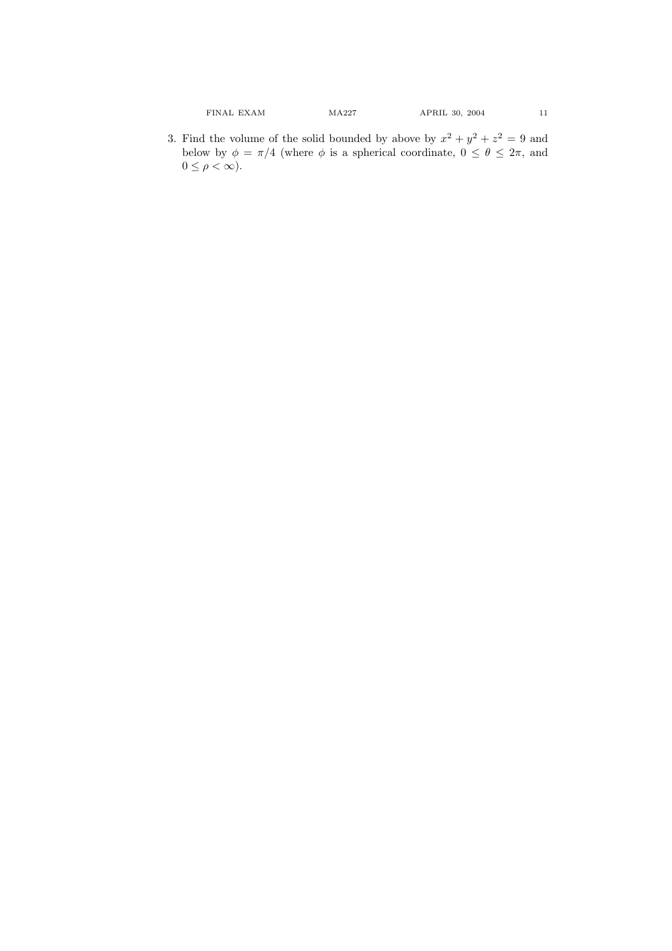3. Find the volume of the solid bounded by above by  $x^2 + y^2 + z^2 = 9$  and below by  $\phi = \pi/4$  (where  $\phi$  is a spherical coordinate,  $0 \le \theta \le 2\pi$ , and  $0 \leq \rho < \infty$ ).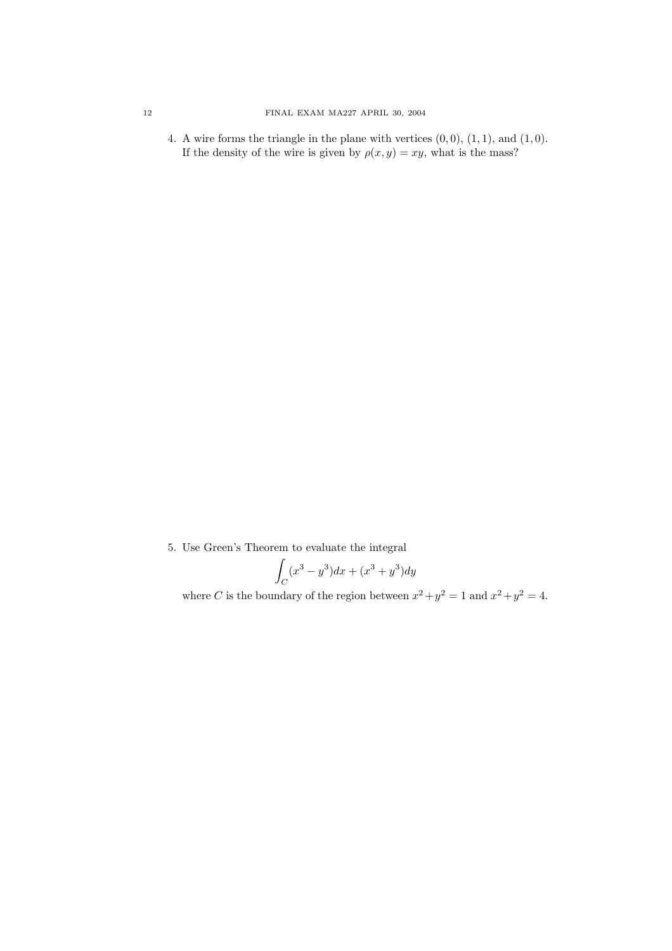4. A wire forms the triangle in the plane with vertices  $(0, 0)$ ,  $(1, 1)$ , and  $(1, 0)$ . If the density of the wire is given by  $\rho(x, y) = xy$ , what is the mass?

5. Use Green's Theorem to evaluate the integral

$$
\int_C (x^3 - y^3)dx + (x^3 + y^3)dy
$$

where C is the boundary of the region between  $x^2 + y^2 = 1$  and  $x^2 + y^2 = 4$ .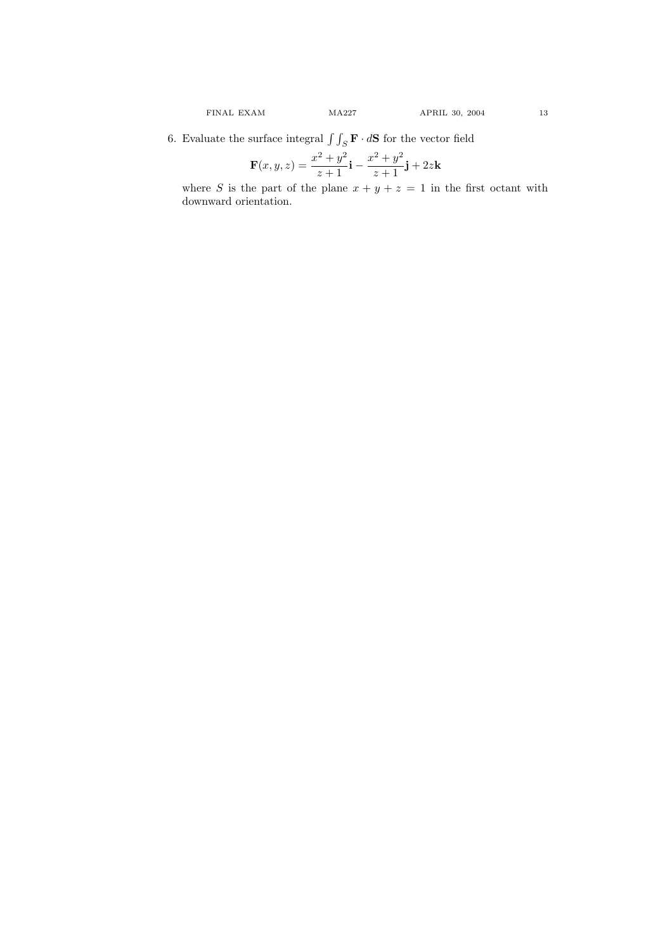6. Evaluate the surface integral  $\int \int_S \mathbf{F} \cdot d\mathbf{S}$  for the vector field

$$
\mathbf{F}(x, y, z) = \frac{x^2 + y^2}{z+1}\mathbf{i} - \frac{x^2 + y^2}{z+1}\mathbf{j} + 2z\mathbf{k}
$$

where S is the part of the plane  $x + y + z = 1$  in the first octant with downward orientation.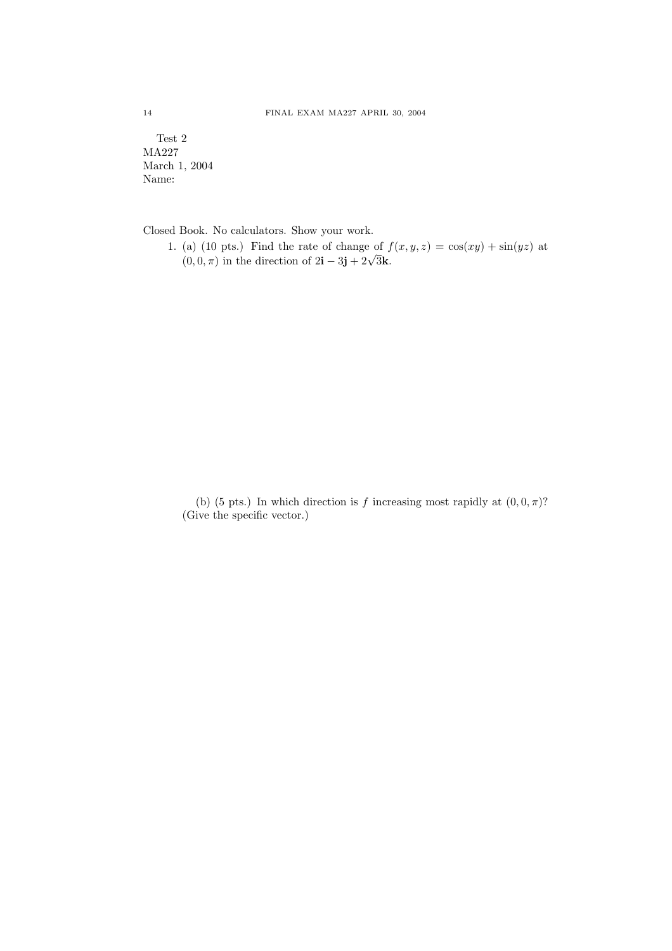Test 2 MA227 March 1, 2004 Name:

Closed Book. No calculators. Show your work.

1. (a) (10 pts.) Find the rate of change of  $f(x, y, z) = \cos(xy) + \sin(yz)$  at (a) (10 pts.) **Find the rate of change of f**<br>(0, 0,  $\pi$ ) in the direction of  $2\mathbf{i} - 3\mathbf{j} + 2\sqrt{3}\mathbf{k}$ .

(b) (5 pts.) In which direction is f increasing most rapidly at  $(0, 0, \pi)$ ? (Give the specific vector.)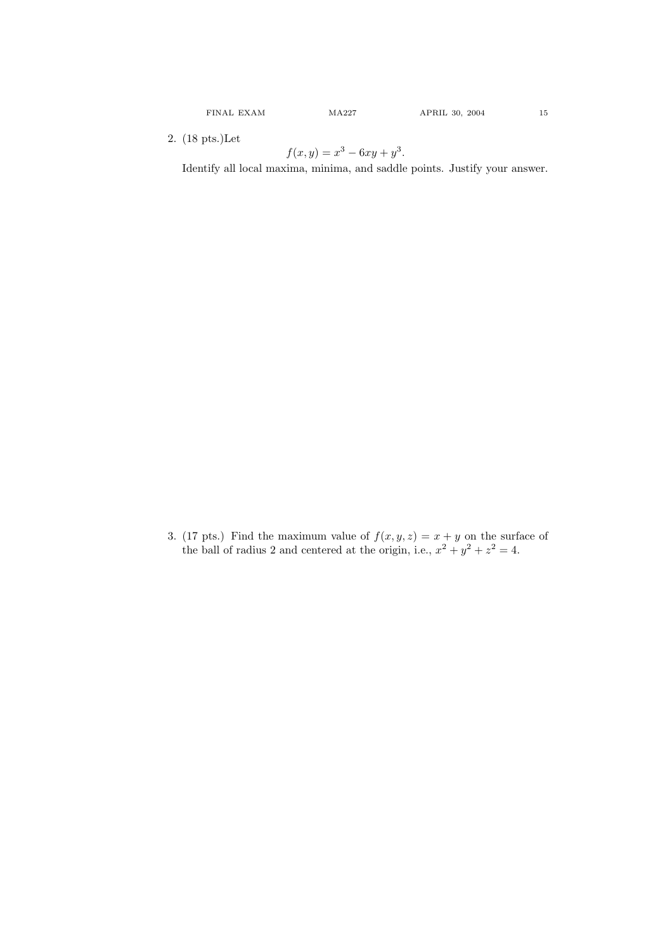2. (18 pts.)Let

$$
f(x,y) = x^3 - 6xy + y^3.
$$

Identify all local maxima, minima, and saddle points. Justify your answer.

3. (17 pts.) Find the maximum value of  $f(x, y, z) = x + y$  on the surface of the ball of radius 2 and centered at the origin, i.e.,  $x^2 + y^2 + z^2 = 4$ .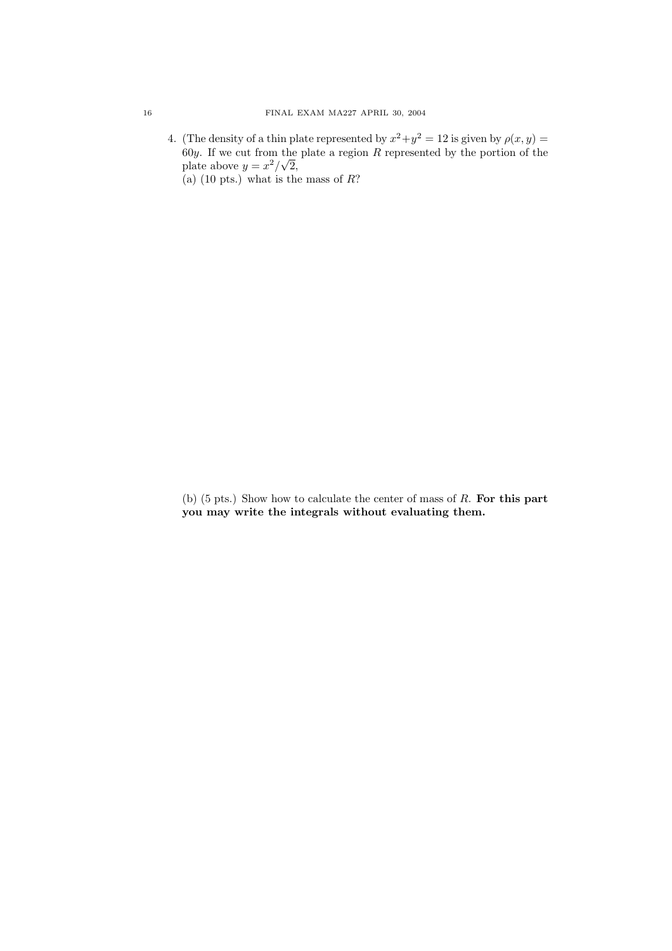4. (The density of a thin plate represented by  $x^2 + y^2 = 12$  is given by  $\rho(x, y) =$ 60y. If we cut from the plate a region R represented by the portion of the plate above  $y = x^2/\sqrt{2}$ , (a) (10 pts.) what is the mass of  $R$ ?

(b)  $(5 \text{ pts.})$  Show how to calculate the center of mass of  $R$ . For this part you may write the integrals without evaluating them.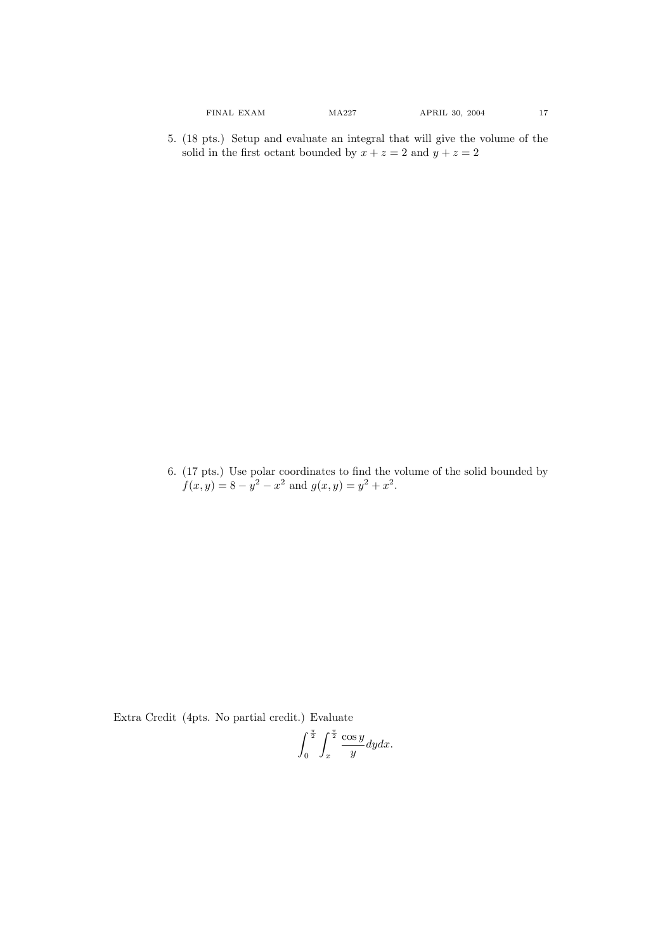6. (17 pts.) Use polar coordinates to find the volume of the solid bounded by  $f(x, y) = 8 - y^2 - x^2$  and  $g(x, y) = y^2 + x^2$ .

Extra Credit (4pts. No partial credit.) Evaluate

$$
\int_0^{\frac{\pi}{2}} \int_x^{\frac{\pi}{2}} \frac{\cos y}{y} dy dx.
$$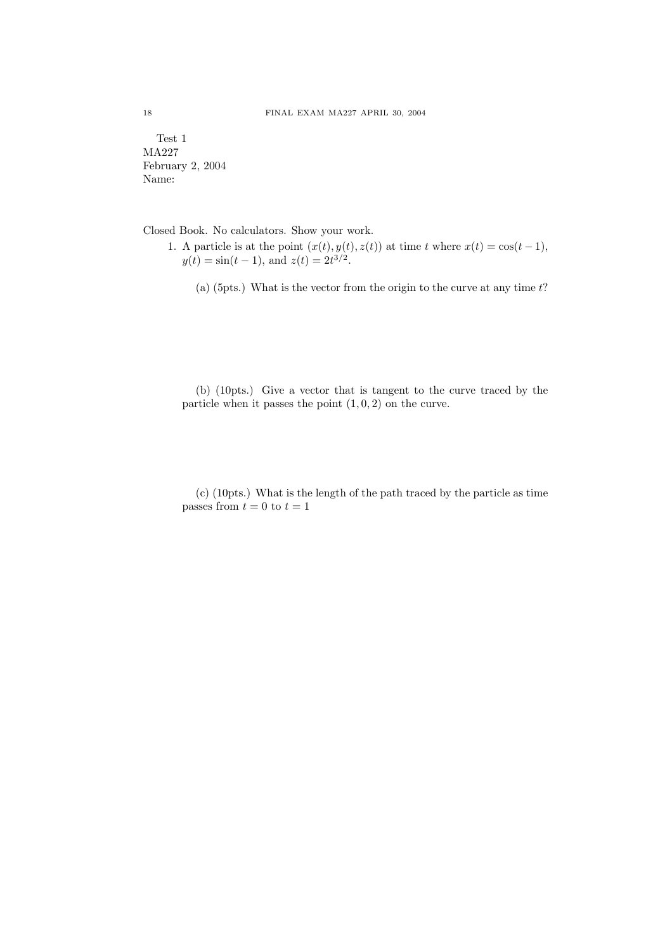Test 1 MA227 February 2, 2004 Name:

Closed Book. No calculators. Show your work.

- 1. A particle is at the point  $(x(t), y(t), z(t))$  at time t where  $x(t) = \cos(t-1)$ ,  $y(t) = \sin(t-1)$ , and  $z(t) = 2t^{3/2}$ .
	- (a) (5pts.) What is the vector from the origin to the curve at any time  $t$ ?

(b) (10pts.) Give a vector that is tangent to the curve traced by the particle when it passes the point  $(1, 0, 2)$  on the curve.

(c) (10pts.) What is the length of the path traced by the particle as time passes from  $t = 0$  to  $t = 1$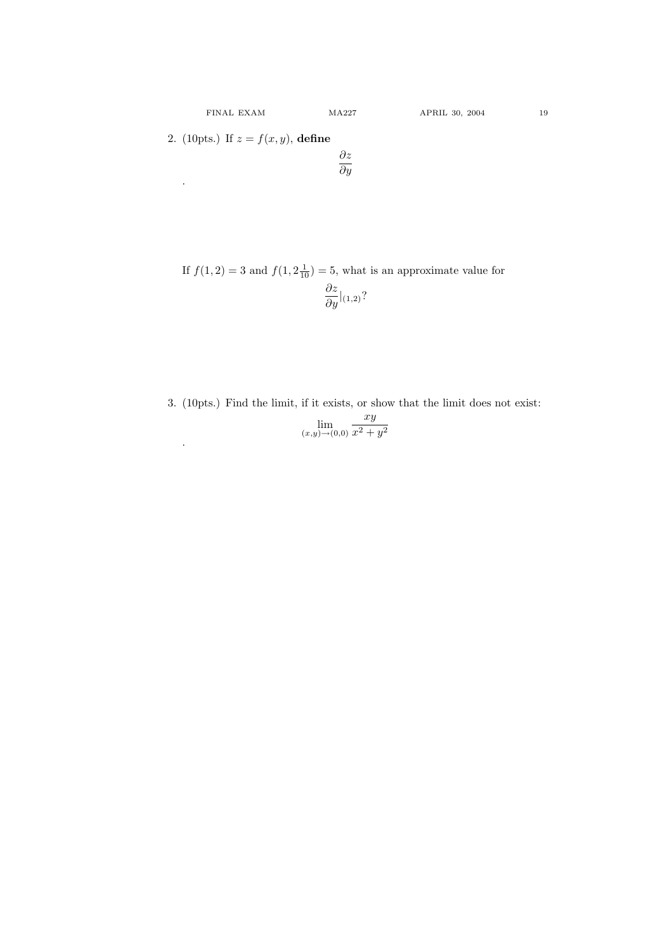.

.

If  $f(1, 2) = 3$  and  $f(1, 2\frac{1}{10}) = 5$ , what is an approximate value for  $\frac{\partial z}{\partial y}|_{(1,2)}$ ?

3. (10pts.) Find the limit, if it exists, or show that the limit does not exist:

$$
\lim_{(x,y)\to(0,0)}\frac{xy}{x^2+y^2}
$$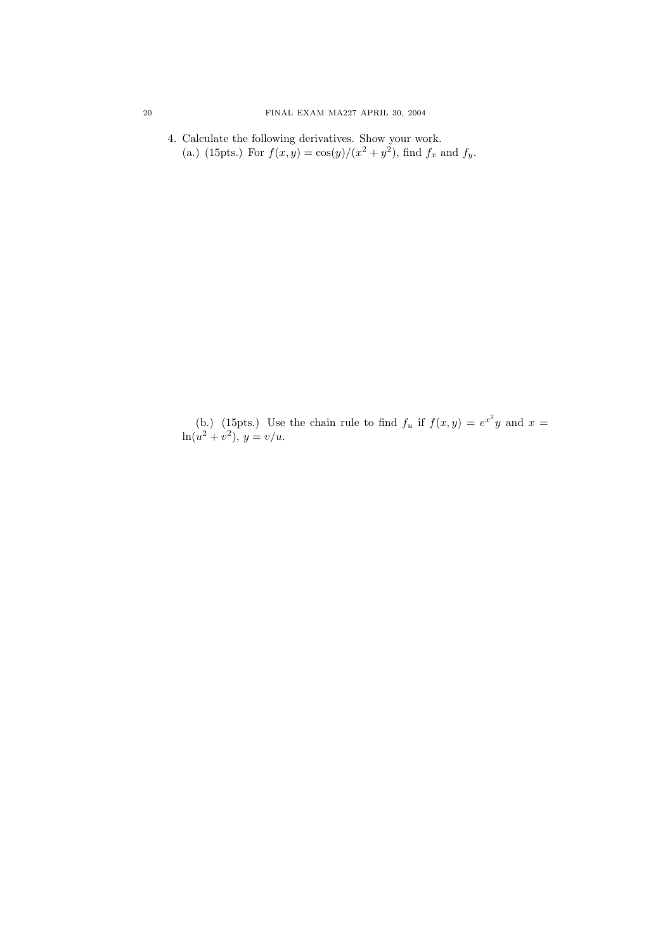4. Calculate the following derivatives. Show your work. (a.) (15pts.) For  $f(x, y) = \cos(y)/(x^2 + y^2)$ , find  $f_x$  and  $f_y$ .

(b.) (15pts.) Use the chain rule to find  $f_u$  if  $f(x,y) = e^{x^2}y$  and  $x =$  $\ln(u^2 + v^2), y = v/u.$